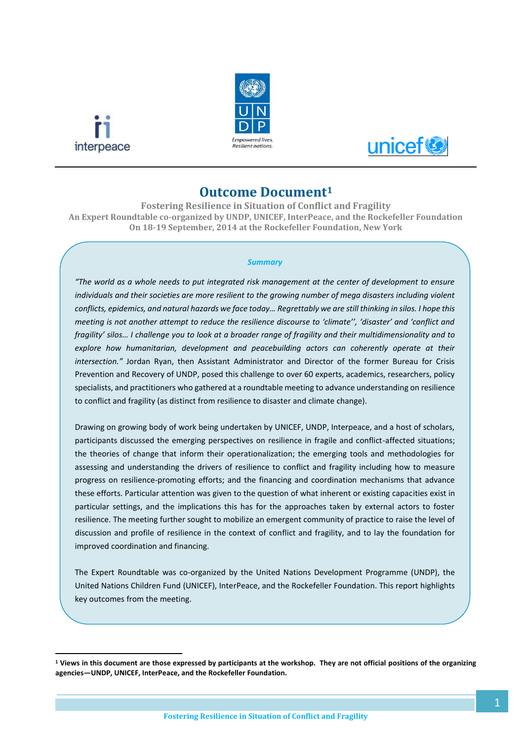

**.** 





# **Outcome Document<sup>1</sup>**

**Fostering Resilience in Situation of Conflict and Fragility An Expert Roundtable co-organized by UNDP, UNICEF, InterPeace, and the Rockefeller Foundation On 18-19 September, 2014 at the Rockefeller Foundation, New York**

#### *Summary*

*"The world as a whole needs to put integrated risk management at the center of development to ensure individuals and their societies are more resilient to the growing number of mega disasters including violent conflicts, epidemics, and natural hazards we face today… Regrettably we are still thinking in silos. I hope this meeting is not another attempt to reduce the resilience discourse to 'climate'', 'disaster' and 'conflict and fragility' silos… I challenge you to look at a broader range of fragility and their multidimensionality and to explore how humanitarian, development and peacebuilding actors can coherently operate at their intersection."* Jordan Ryan, then Assistant Administrator and Director of the former Bureau for Crisis Prevention and Recovery of UNDP, posed this challenge to over 60 experts, academics, researchers, policy specialists, and practitioners who gathered at a roundtable meeting to advance understanding on resilience to conflict and fragility (as distinct from resilience to disaster and climate change).

Drawing on growing body of work being undertaken by UNICEF, UNDP, Interpeace, and a host of scholars, participants discussed the emerging perspectives on resilience in fragile and conflict-affected situations; the theories of change that inform their operationalization; the emerging tools and methodologies for assessing and understanding the drivers of resilience to conflict and fragility including how to measure progress on resilience-promoting efforts; and the financing and coordination mechanisms that advance these efforts. Particular attention was given to the question of what inherent or existing capacities exist in particular settings, and the implications this has for the approaches taken by external actors to foster resilience. The meeting further sought to mobilize an emergent community of practice to raise the level of discussion and profile of resilience in the context of conflict and fragility, and to lay the foundation for improved coordination and financing.

The Expert Roundtable was co-organized by the United Nations Development Programme (UNDP), the United Nations Children Fund (UNICEF), InterPeace, and the Rockefeller Foundation. This report highlights key outcomes from the meeting.

**<sup>1</sup> Views in this document are those expressed by participants at the workshop. They are not official positions of the organizing agencies—UNDP, UNICEF, InterPeace, and the Rockefeller Foundation.**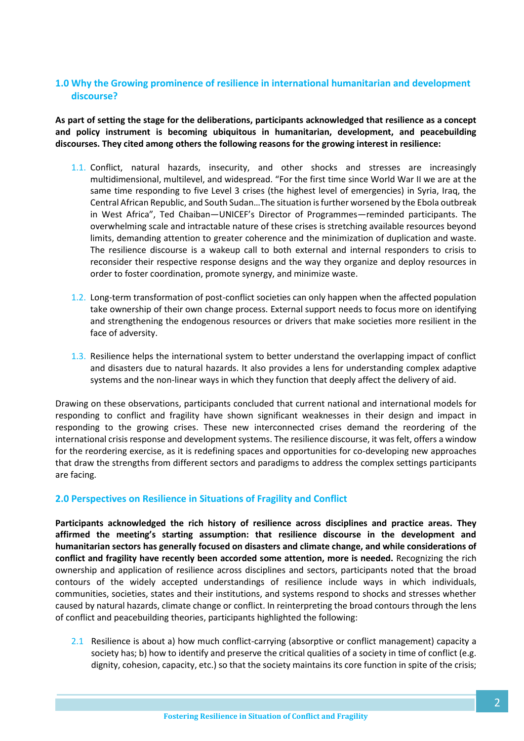## **1.0 Why the Growing prominence of resilience in international humanitarian and development discourse?**

**As part of setting the stage for the deliberations, participants acknowledged that resilience as a concept and policy instrument is becoming ubiquitous in humanitarian, development, and peacebuilding discourses. They cited among others the following reasons for the growing interest in resilience:** 

- 1.1. Conflict, natural hazards, insecurity, and other shocks and stresses are increasingly multidimensional, multilevel, and widespread. "For the first time since World War II we are at the same time responding to five Level 3 crises (the highest level of emergencies) in Syria, Iraq, the Central African Republic, and South Sudan…The situation is further worsened by the Ebola outbreak in West Africa", Ted Chaiban—UNICEF's Director of Programmes—reminded participants. The overwhelming scale and intractable nature of these crises is stretching available resources beyond limits, demanding attention to greater coherence and the minimization of duplication and waste. The resilience discourse is a wakeup call to both external and internal responders to crisis to reconsider their respective response designs and the way they organize and deploy resources in order to foster coordination, promote synergy, and minimize waste.
- 1.2. Long-term transformation of post-conflict societies can only happen when the affected population take ownership of their own change process. External support needs to focus more on identifying and strengthening the endogenous resources or drivers that make societies more resilient in the face of adversity.
- 1.3. Resilience helps the international system to better understand the overlapping impact of conflict and disasters due to natural hazards. It also provides a lens for understanding complex adaptive systems and the non-linear ways in which they function that deeply affect the delivery of aid.

Drawing on these observations, participants concluded that current national and international models for responding to conflict and fragility have shown significant weaknesses in their design and impact in responding to the growing crises. These new interconnected crises demand the reordering of the international crisis response and development systems. The resilience discourse, it was felt, offers a window for the reordering exercise, as it is redefining spaces and opportunities for co-developing new approaches that draw the strengths from different sectors and paradigms to address the complex settings participants are facing.

## **2.0 Perspectives on Resilience in Situations of Fragility and Conflict**

**Participants acknowledged the rich history of resilience across disciplines and practice areas. They affirmed the meeting's starting assumption: that resilience discourse in the development and humanitarian sectors has generally focused on disasters and climate change, and while considerations of conflict and fragility have recently been accorded some attention, more is needed.** Recognizing the rich ownership and application of resilience across disciplines and sectors, participants noted that the broad contours of the widely accepted understandings of resilience include ways in which individuals, communities, societies, states and their institutions, and systems respond to shocks and stresses whether caused by natural hazards, climate change or conflict. In reinterpreting the broad contours through the lens of conflict and peacebuilding theories, participants highlighted the following:

2.1 Resilience is about a) how much conflict-carrying (absorptive or conflict management) capacity a society has; b) how to identify and preserve the critical qualities of a society in time of conflict (e.g. dignity, cohesion, capacity, etc.) so that the society maintains its core function in spite of the crisis;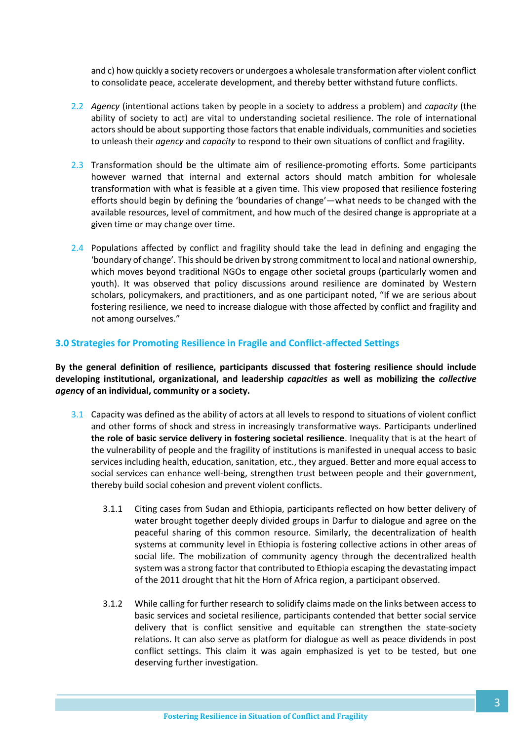and c) how quickly a society recovers or undergoes a wholesale transformation after violent conflict to consolidate peace, accelerate development, and thereby better withstand future conflicts.

- 2.2 *Agency* (intentional actions taken by people in a society to address a problem) and *capacity* (the ability of society to act) are vital to understanding societal resilience. The role of international actors should be about supporting those factors that enable individuals, communities and societies to unleash their *agency* and *capacity* to respond to their own situations of conflict and fragility.
- 2.3 Transformation should be the ultimate aim of resilience-promoting efforts. Some participants however warned that internal and external actors should match ambition for wholesale transformation with what is feasible at a given time. This view proposed that resilience fostering efforts should begin by defining the 'boundaries of change'—what needs to be changed with the available resources, level of commitment, and how much of the desired change is appropriate at a given time or may change over time.
- 2.4 Populations affected by conflict and fragility should take the lead in defining and engaging the 'boundary of change'. This should be driven by strong commitment to local and national ownership, which moves beyond traditional NGOs to engage other societal groups (particularly women and youth). It was observed that policy discussions around resilience are dominated by Western scholars, policymakers, and practitioners, and as one participant noted, "If we are serious about fostering resilience, we need to increase dialogue with those affected by conflict and fragility and not among ourselves."

## **3.0 Strategies for Promoting Resilience in Fragile and Conflict-affected Settings**

**By the general definition of resilience, participants discussed that fostering resilience should include developing institutional, organizational, and leadership** *capacities* **as well as mobilizing the** *collective agen***cy of an individual, community or a society.**

- 3.1 Capacity was defined as the ability of actors at all levels to respond to situations of violent conflict and other forms of shock and stress in increasingly transformative ways. Participants underlined **the role of basic service delivery in fostering societal resilience**. Inequality that is at the heart of the vulnerability of people and the fragility of institutions is manifested in unequal access to basic services including health, education, sanitation, etc., they argued. Better and more equal access to social services can enhance well-being, strengthen trust between people and their government, thereby build social cohesion and prevent violent conflicts.
	- 3.1.1 Citing cases from Sudan and Ethiopia, participants reflected on how better delivery of water brought together deeply divided groups in Darfur to dialogue and agree on the peaceful sharing of this common resource. Similarly, the decentralization of health systems at community level in Ethiopia is fostering collective actions in other areas of social life. The mobilization of community agency through the decentralized health system was a strong factor that contributed to Ethiopia escaping the devastating impact of the 2011 drought that hit the Horn of Africa region, a participant observed.
	- 3.1.2 While calling for further research to solidify claims made on the links between access to basic services and societal resilience, participants contended that better social service delivery that is conflict sensitive and equitable can strengthen the state-society relations. It can also serve as platform for dialogue as well as peace dividends in post conflict settings. This claim it was again emphasized is yet to be tested, but one deserving further investigation.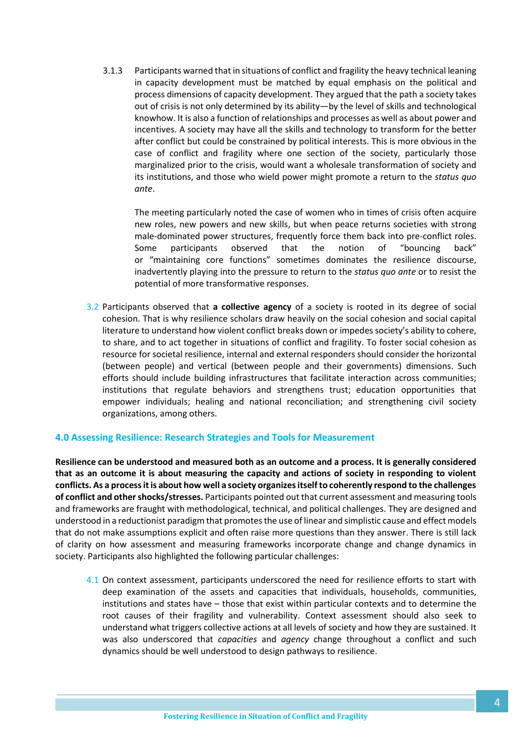3.1.3 Participants warned that in situations of conflict and fragility the heavy technical leaning in capacity development must be matched by equal emphasis on the political and process dimensions of capacity development. They argued that the path a society takes out of crisis is not only determined by its ability—by the level of skills and technological knowhow. It is also a function of relationships and processes as well as about power and incentives. A society may have all the skills and technology to transform for the better after conflict but could be constrained by political interests. This is more obvious in the case of conflict and fragility where one section of the society, particularly those marginalized prior to the crisis, would want a wholesale transformation of society and its institutions, and those who wield power might promote a return to the *status quo ante*.

The meeting particularly noted the case of women who in times of crisis often acquire new roles, new powers and new skills, but when peace returns societies with strong male-dominated power structures, frequently force them back into pre-conflict roles. Some participants observed that the notion of "bouncing back" or "maintaining core functions" sometimes dominates the resilience discourse, inadvertently playing into the pressure to return to the *status quo ante* or to resist the potential of more transformative responses.

3.2 Participants observed that **a collective agency** of a society is rooted in its degree of social cohesion. That is why resilience scholars draw heavily on the social cohesion and social capital literature to understand how violent conflict breaks down or impedes society's ability to cohere, to share, and to act together in situations of conflict and fragility. To foster social cohesion as resource for societal resilience, internal and external responders should consider the horizontal (between people) and vertical (between people and their governments) dimensions. Such efforts should include building infrastructures that facilitate interaction across communities; institutions that regulate behaviors and strengthens trust; education opportunities that empower individuals; healing and national reconciliation; and strengthening civil society organizations, among others.

#### **4.0 Assessing Resilience: Research Strategies and Tools for Measurement**

**Resilience can be understood and measured both as an outcome and a process. It is generally considered that as an outcome it is about measuring the capacity and actions of society in responding to violent conflicts. As a process it is about how well a society organizes itself to coherently respond to the challenges of conflict and other shocks/stresses.** Participants pointed out that current assessment and measuring tools and frameworks are fraught with methodological, technical, and political challenges. They are designed and understood in a reductionist paradigm that promotes the use of linear and simplistic cause and effect models that do not make assumptions explicit and often raise more questions than they answer. There is still lack of clarity on how assessment and measuring frameworks incorporate change and change dynamics in society. Participants also highlighted the following particular challenges:

4.1 On context assessment, participants underscored the need for resilience efforts to start with deep examination of the assets and capacities that individuals, households, communities, institutions and states have – those that exist within particular contexts and to determine the root causes of their fragility and vulnerability. Context assessment should also seek to understand what triggers collective actions at all levels of society and how they are sustained. It was also underscored that *capacities* and *agency* change throughout a conflict and such dynamics should be well understood to design pathways to resilience.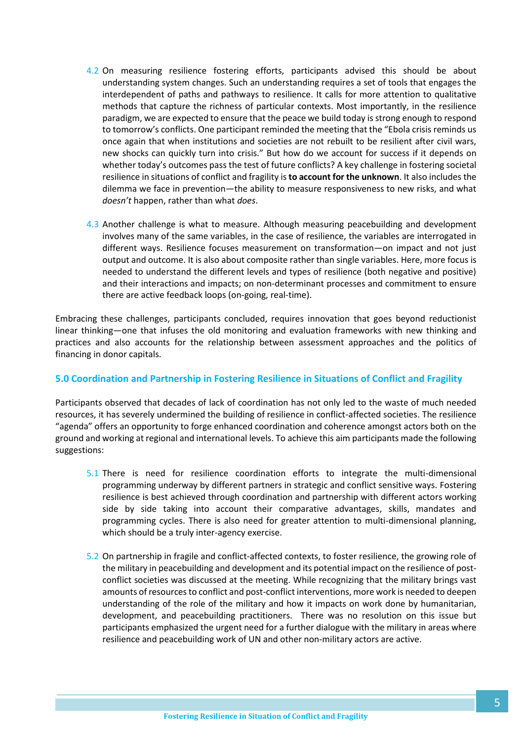- 4.2 On measuring resilience fostering efforts, participants advised this should be about understanding system changes. Such an understanding requires a set of tools that engages the interdependent of paths and pathways to resilience. It calls for more attention to qualitative methods that capture the richness of particular contexts. Most importantly, in the resilience paradigm, we are expected to ensure that the peace we build today is strong enough to respond to tomorrow's conflicts. One participant reminded the meeting that the "Ebola crisis reminds us once again that when institutions and societies are not rebuilt to be resilient after civil wars, new shocks can quickly turn into crisis." But how do we account for success if it depends on whether today's outcomes pass the test of future conflicts? A key challenge in fostering societal resilience in situations of conflict and fragility is **to account for the unknown**. It also includes the dilemma we face in prevention—the ability to measure responsiveness to new risks, and what *doesn't* happen, rather than what *does*.
- 4.3 Another challenge is what to measure. Although measuring peacebuilding and development involves many of the same variables, in the case of resilience, the variables are interrogated in different ways. Resilience focuses measurement on transformation—on impact and not just output and outcome. It is also about composite rather than single variables. Here, more focus is needed to understand the different levels and types of resilience (both negative and positive) and their interactions and impacts; on non-determinant processes and commitment to ensure there are active feedback loops (on-going, real-time).

Embracing these challenges, participants concluded, requires innovation that goes beyond reductionist linear thinking—one that infuses the old monitoring and evaluation frameworks with new thinking and practices and also accounts for the relationship between assessment approaches and the politics of financing in donor capitals.

## **5.0 Coordination and Partnership in Fostering Resilience in Situations of Conflict and Fragility**

Participants observed that decades of lack of coordination has not only led to the waste of much needed resources, it has severely undermined the building of resilience in conflict-affected societies. The resilience "agenda" offers an opportunity to forge enhanced coordination and coherence amongst actors both on the ground and working at regional and international levels. To achieve this aim participants made the following suggestions:

- 5.1 There is need for resilience coordination efforts to integrate the multi-dimensional programming underway by different partners in strategic and conflict sensitive ways. Fostering resilience is best achieved through coordination and partnership with different actors working side by side taking into account their comparative advantages, skills, mandates and programming cycles. There is also need for greater attention to multi-dimensional planning, which should be a truly inter-agency exercise.
- 5.2 On partnership in fragile and conflict-affected contexts, to foster resilience, the growing role of the military in peacebuilding and development and its potential impact on the resilience of postconflict societies was discussed at the meeting. While recognizing that the military brings vast amounts of resources to conflict and post-conflict interventions, more work is needed to deepen understanding of the role of the military and how it impacts on work done by humanitarian, development, and peacebuilding practitioners. There was no resolution on this issue but participants emphasized the urgent need for a further dialogue with the military in areas where resilience and peacebuilding work of UN and other non-military actors are active.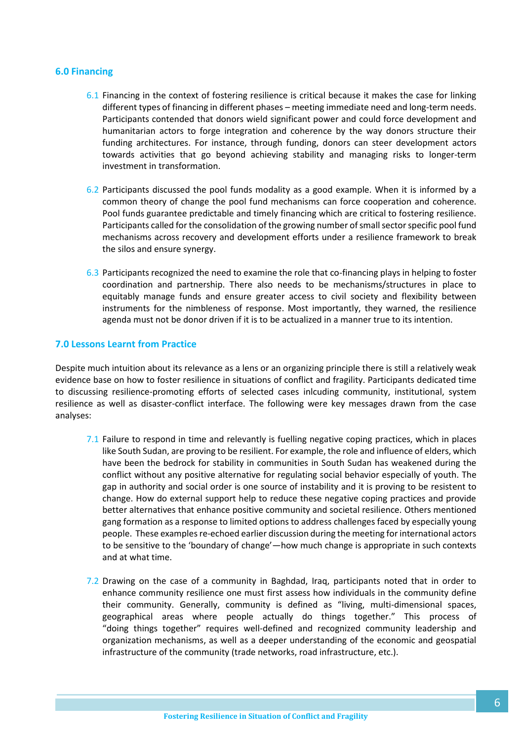## **6.0 Financing**

- 6.1 Financing in the context of fostering resilience is critical because it makes the case for linking different types of financing in different phases – meeting immediate need and long-term needs. Participants contended that donors wield significant power and could force development and humanitarian actors to forge integration and coherence by the way donors structure their funding architectures. For instance, through funding, donors can steer development actors towards activities that go beyond achieving stability and managing risks to longer-term investment in transformation.
- 6.2 Participants discussed the pool funds modality as a good example. When it is informed by a common theory of change the pool fund mechanisms can force cooperation and coherence. Pool funds guarantee predictable and timely financing which are critical to fostering resilience. Participants called for the consolidation of the growing number of small sector specific pool fund mechanisms across recovery and development efforts under a resilience framework to break the silos and ensure synergy.
- 6.3 Participants recognized the need to examine the role that co-financing plays in helping to foster coordination and partnership. There also needs to be mechanisms/structures in place to equitably manage funds and ensure greater access to civil society and flexibility between instruments for the nimbleness of response. Most importantly, they warned, the resilience agenda must not be donor driven if it is to be actualized in a manner true to its intention.

### **7.0 Lessons Learnt from Practice**

Despite much intuition about its relevance as a lens or an organizing principle there is still a relatively weak evidence base on how to foster resilience in situations of conflict and fragility. Participants dedicated time to discussing resilience-promoting efforts of selected cases inlcuding community, institutional, system resilience as well as disaster-conflict interface. The following were key messages drawn from the case analyses:

- 7.1 Failure to respond in time and relevantly is fuelling negative coping practices, which in places like South Sudan, are proving to be resilient. For example, the role and influence of elders, which have been the bedrock for stability in communities in South Sudan has weakened during the conflict without any positive alternative for regulating social behavior especially of youth. The gap in authority and social order is one source of instability and it is proving to be resistent to change. How do external support help to reduce these negative coping practices and provide better alternatives that enhance positive community and societal resilience. Others mentioned gang formation as a response to limited options to address challenges faced by especially young people. These examples re-echoed earlier discussion during the meeting for international actors to be sensitive to the 'boundary of change'—how much change is appropriate in such contexts and at what time.
- 7.2 Drawing on the case of a community in Baghdad, Iraq, participants noted that in order to enhance community resilience one must first assess how individuals in the community define their community. Generally, community is defined as "living, multi-dimensional spaces, geographical areas where people actually do things together." This process of "doing things together" requires well-defined and recognized community leadership and organization mechanisms, as well as a deeper understanding of the economic and geospatial infrastructure of the community (trade networks, road infrastructure, etc.).